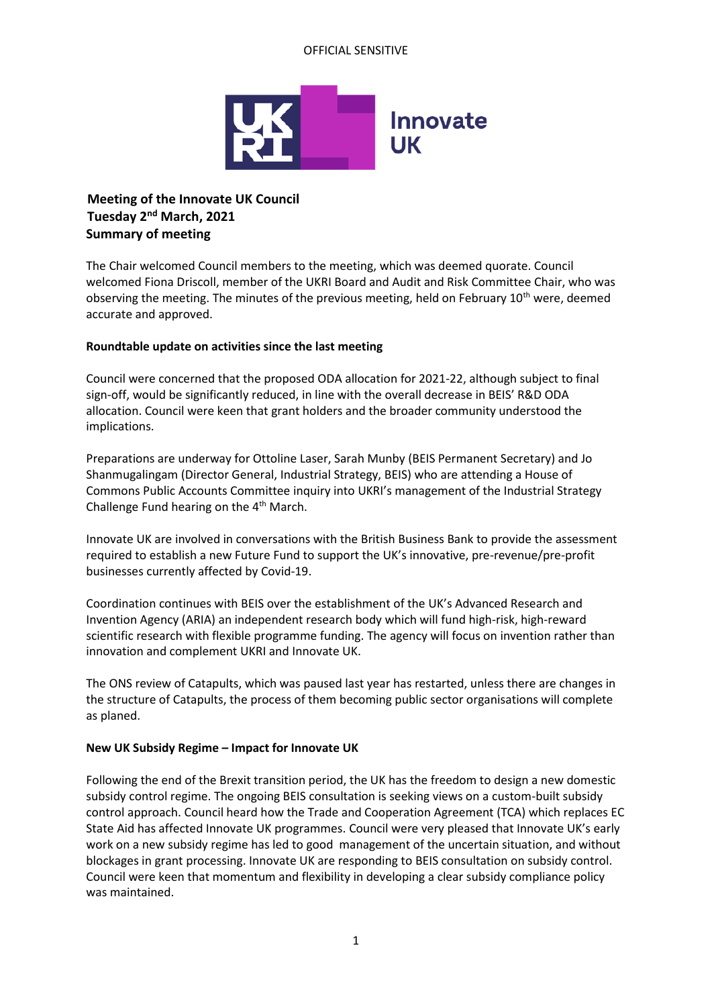## OFFICIAL SENSITIVE



# **Meeting of the Innovate UK Council Tuesday 2nd March, 2021 Summary of meeting**

The Chair welcomed Council members to the meeting, which was deemed quorate. Council welcomed Fiona Driscoll, member of the UKRI Board and Audit and Risk Committee Chair, who was observing the meeting. The minutes of the previous meeting, held on February  $10^{th}$  were, deemed accurate and approved.

## **Roundtable update on activities since the last meeting**

Council were concerned that the proposed ODA allocation for 2021-22, although subject to final sign-off, would be significantly reduced, in line with the overall decrease in BEIS' R&D ODA allocation. Council were keen that grant holders and the broader community understood the implications.

Preparations are underway for Ottoline Laser, Sarah Munby (BEIS Permanent Secretary) and Jo Shanmugalingam (Director General, Industrial Strategy, BEIS) who are attending a House of Commons Public Accounts Committee inquiry into UKRI's management of the Industrial Strategy Challenge Fund hearing on the 4<sup>th</sup> March.

Innovate UK are involved in conversations with the British Business Bank to provide the assessment required to establish a new Future Fund to support the UK's innovative, pre-revenue/pre-profit businesses currently affected by Covid-19.

Coordination continues with BEIS over the establishment of the UK's Advanced Research and Invention Agency (ARIA) an independent research body which will fund high-risk, high-reward scientific research with flexible programme funding. The agency will focus on invention rather than innovation and complement UKRI and Innovate UK.

The ONS review of Catapults, which was paused last year has restarted, unless there are changes in the structure of Catapults, the process of them becoming public sector organisations will complete as planed.

## **New UK Subsidy Regime – Impact for Innovate UK**

Following the end of the Brexit transition period, the UK has the freedom to design a new domestic subsidy control regime. The ongoing BEIS consultation is seeking views on a custom-built subsidy control approach. Council heard how the Trade and Cooperation Agreement (TCA) which replaces EC State Aid has affected Innovate UK programmes. Council were very pleased that Innovate UK's early work on a new subsidy regime has led to good management of the uncertain situation, and without blockages in grant processing. Innovate UK are responding to BEIS consultation on subsidy control. Council were keen that momentum and flexibility in developing a clear subsidy compliance policy was maintained.